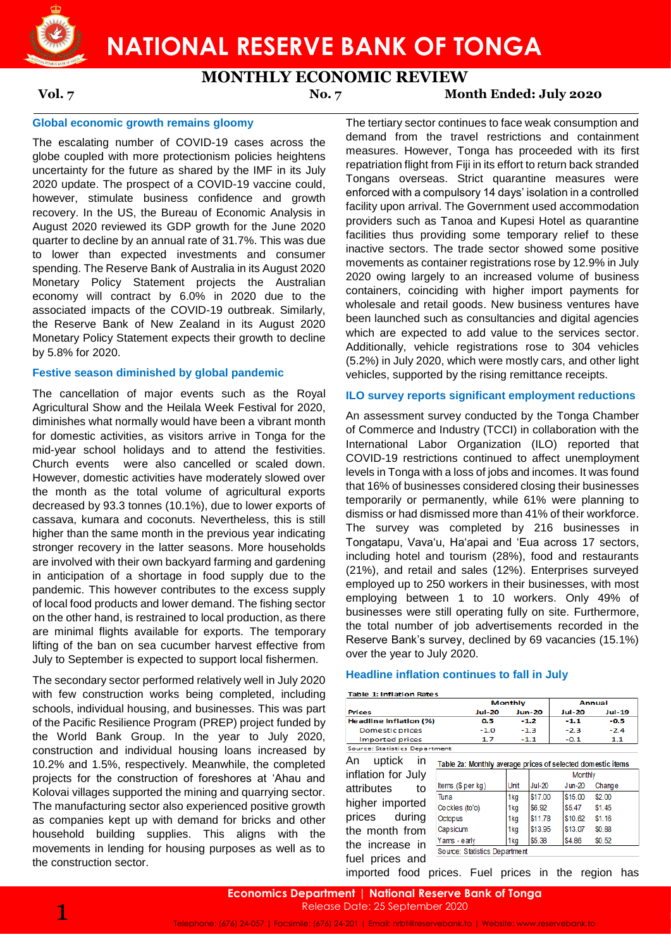

# **MONTHLY ECONOMIC REVIEW**

**Vol. 7 No. 7 Month Ended: July 2020**

# **Global economic growth remains gloomy**

The escalating number of COVID-19 cases across the globe coupled with more protectionism policies heightens uncertainty for the future as shared by the IMF in its July 2020 update. The prospect of a COVID-19 vaccine could, however, stimulate business confidence and growth recovery. In the US, the Bureau of Economic Analysis in August 2020 reviewed its GDP growth for the June 2020 quarter to decline by an annual rate of 31.7%. This was due to lower than expected investments and consumer spending. The Reserve Bank of Australia in its August 2020 Monetary Policy Statement projects the Australian economy will contract by 6.0% in 2020 due to the associated impacts of the COVID-19 outbreak. Similarly, the Reserve Bank of New Zealand in its August 2020 Monetary Policy Statement expects their growth to decline by 5.8% for 2020.

## **Festive season diminished by global pandemic**

The cancellation of major events such as the Royal Agricultural Show and the Heilala Week Festival for 2020, diminishes what normally would have been a vibrant month for domestic activities, as visitors arrive in Tonga for the mid-year school holidays and to attend the festivities. Church events were also cancelled or scaled down. However, domestic activities have moderately slowed over the month as the total volume of agricultural exports decreased by 93.3 tonnes (10.1%), due to lower exports of cassava, kumara and coconuts. Nevertheless, this is still higher than the same month in the previous year indicating stronger recovery in the latter seasons. More households are involved with their own backyard farming and gardening in anticipation of a shortage in food supply due to the pandemic. This however contributes to the excess supply of local food products and lower demand. The fishing sector on the other hand, is restrained to local production, as there are minimal flights available for exports. The temporary lifting of the ban on sea cucumber harvest effective from July to September is expected to support local fishermen.

The secondary sector performed relatively well in July 2020 with few construction works being completed, including schools, individual housing, and businesses. This was part of the Pacific Resilience Program (PREP) project funded by the World Bank Group. In the year to July 2020, construction and individual housing loans increased by 10.2% and 1.5%, respectively. Meanwhile, the completed projects for the construction of foreshores at 'Ahau and Kolovai villages supported the mining and quarrying sector. The manufacturing sector also experienced positive growth as companies kept up with demand for bricks and other household building supplies. This aligns with the movements in lending for housing purposes as well as to the construction sector.

The tertiary sector continues to face weak consumption and demand from the travel restrictions and containment measures. However, Tonga has proceeded with its first repatriation flight from Fiji in its effort to return back stranded Tongans overseas. Strict quarantine measures were enforced with a compulsory 14 days' isolation in a controlled facility upon arrival. The Government used accommodation providers such as Tanoa and Kupesi Hotel as quarantine facilities thus providing some temporary relief to these inactive sectors. The trade sector showed some positive movements as container registrations rose by 12.9% in July 2020 owing largely to an increased volume of business containers, coinciding with higher import payments for wholesale and retail goods. New business ventures have been launched such as consultancies and digital agencies which are expected to add value to the services sector. Additionally, vehicle registrations rose to 304 vehicles (5.2%) in July 2020, which were mostly cars, and other light vehicles, supported by the rising remittance receipts.

# **ILO survey reports significant employment reductions**

An assessment survey conducted by the Tonga Chamber of Commerce and Industry (TCCI) in collaboration with the International Labor Organization (ILO) reported that COVID-19 restrictions continued to affect unemployment levels in Tonga with a loss of jobs and incomes. It was found that 16% of businesses considered closing their businesses temporarily or permanently, while 61% were planning to dismiss or had dismissed more than 41% of their workforce. The survey was completed by 216 businesses in Tongatapu, Vava'u, Ha'apai and 'Eua across 17 sectors, including hotel and tourism (28%), food and restaurants (21%), and retail and sales (12%). Enterprises surveyed employed up to 250 workers in their businesses, with most employing between 1 to 10 workers. Only 49% of businesses were still operating fully on site. Furthermore, the total number of job advertisements recorded in the Reserve Bank's survey, declined by 69 vacancies (15.1%) over the year to July 2020.

## **Headline inflation continues to fall in July**

**Table 1: Inflation Rates** 

|                               |               | Monthly       | Annual        |        |  |
|-------------------------------|---------------|---------------|---------------|--------|--|
| <b>Prices</b>                 | <b>Jul-20</b> | <b>Jun-20</b> | <b>Jul-20</b> | Jul-19 |  |
| <b>Headline Inflation (%)</b> | 0.5           | $-1.2$        | $-1.1$        | $-0.5$ |  |
| <b>Domestic prices</b>        | $-1.0$        | $-1.3$        | $-2.3$        | $-2.4$ |  |
| Imported prices               | 17            | $-11$         | $-0.1$        | 1.1    |  |
| Source: Statistics Department |               |               |               |        |  |

An uptick in Table 2a: Monthly average prices of selected domestic items

inflation for July attributes to higher imported prices during the month from the increase in fuel prices and

| and ago prisod of colocated abilitation family |                 |               |                |        |  |  |  |  |  |
|------------------------------------------------|-----------------|---------------|----------------|--------|--|--|--|--|--|
|                                                |                 |               | <b>Monthly</b> |        |  |  |  |  |  |
| Items (\$ per kg)                              | Unit            | <b>Jul-20</b> | $Jun-20$       | Change |  |  |  |  |  |
| Tuna                                           | 1kg             | \$17.00       | \$15.00        | \$2.00 |  |  |  |  |  |
| Cockles (to'o)                                 | 1 <sub>kg</sub> | \$6.92        | \$5.47         | \$1.45 |  |  |  |  |  |
| Octopus                                        | 1kg             | \$11.78       | \$10.62        | \$1.16 |  |  |  |  |  |
| Capsicum                                       | 1kg             | \$13.95       | \$13.07        | \$0.88 |  |  |  |  |  |
| Yams - early                                   | 1 <sub>kg</sub> | \$5.38        | \$4.86         | \$0.52 |  |  |  |  |  |
| Source: Statistics Department                  |                 |               |                |        |  |  |  |  |  |

imported food prices. Fuel prices in the region has

**Economics Department** | **National Reserve Bank of Tonga** Release Date: 25 September 2020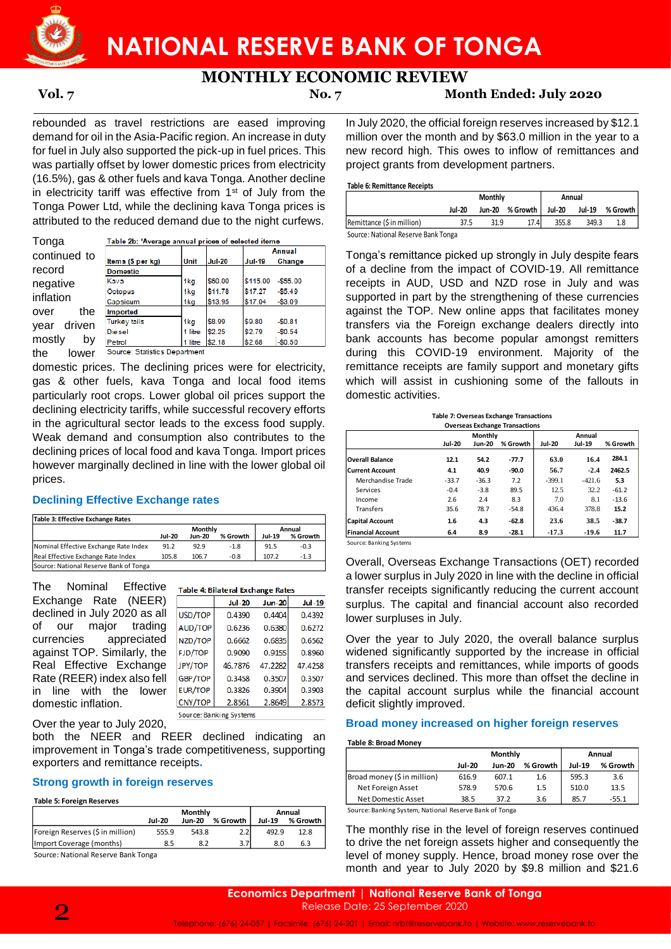

**MONTHLY ECONOMIC REVIEW**

**Vol. 7 No. 7 Month Ended: July 2020**

rebounded as travel restrictions are eased improving demand for oil in the Asia-Pacific region. An increase in duty for fuel in July also supported the pick-up in fuel prices. This was partially offset by lower domestic prices from electricity (16.5%), gas & other fuels and kava Tonga. Another decline in electricity tariff was effective from 1st of July from the Tonga Power Ltd, while the declining kava Tonga prices is attributed to the reduced demand due to the night curfews.

**Tonga** continued to record negative inflation over the year driven mostly by the lower

|                   |         |               |               | Annual    |
|-------------------|---------|---------------|---------------|-----------|
| ltems (\$ per kg) | Unit    | <b>Jul-20</b> | <b>Jul-19</b> | Change    |
| <b>Domestic</b>   |         |               |               |           |
| Kava              | 1kg     | \$60.00       | \$115.00      | $-$55.00$ |
| Octopus           | 1kg     | \$11.78       | \$17.27       | $-$5.49$  |
| Capsicum          | 1kg     | \$13.95       | \$17.04       | $-$3.09$  |
| Imported          |         |               |               |           |
| Turkey tails      | 1kg     | \$8.99        | \$9.80        | $-$0.81$  |
| <b>Diesel</b>     | litre   | \$2.25        | \$2.79        | $-$0.54$  |
| Petrol            | 1 litre | \$2.18        | \$2.68        | $-$0.50$  |

domestic prices. The declining prices were for electricity, gas & other fuels, kava Tonga and local food items particularly root crops. Lower global oil prices support the declining electricity tariffs, while successful recovery efforts in the agricultural sector leads to the excess food supply. Weak demand and consumption also contributes to the declining prices of local food and kava Tonga. Import prices however marginally declined in line with the lower global oil prices.

# **Declining Effective Exchange rates**

| Table 5. Effective Exchange Rates      |               |         |          |               |          |
|----------------------------------------|---------------|---------|----------|---------------|----------|
|                                        |               | Monthly | Annual   |               |          |
|                                        | <b>Jul-20</b> | Jun-20  | % Growth | <b>Jul-19</b> | % Growth |
| Nominal Effective Exchange Rate Index  | 91.2          | 92.9    | $-1.8$   | 91.5          | $-0.3$   |
| Real Effective Exchange Rate Index     | 105.8         | 106.7   | $-0.8$   | 107.2         | $-1.3$   |
| Source: National Reserve Bank of Tonga |               |         |          |               |          |

| Table 3: Effective Exchange Rates                              |                                           |                                          |               |                    | <b>Capital Account</b>                                                                                                            | 1.6 | 4.3           | -62.8         | 23.6     | 38.5          | $-38.7$  |
|----------------------------------------------------------------|-------------------------------------------|------------------------------------------|---------------|--------------------|-----------------------------------------------------------------------------------------------------------------------------------|-----|---------------|---------------|----------|---------------|----------|
|                                                                | Monthly<br><b>Jul-20</b><br><b>Jun-20</b> | % Growth                                 | <b>Jul-19</b> | Annual<br>% Growth | <b>Financial Account</b>                                                                                                          | 6.4 | 8.9           | $-28.1$       | $-17.3$  | $-19.6$       | 11.7     |
| Nominal Effective Exchange Rate Index                          | 91.2<br>92.9                              | $-1.8$                                   | 91.5          | $-0.3$             | Source: Banking Systems                                                                                                           |     |               |               |          |               |          |
| Real Effective Exchange Rate Index                             | 105.8<br>106.7                            | $-0.8$                                   | 107.2         | $-1.3$             |                                                                                                                                   |     |               |               |          |               |          |
| Source: National Reserve Bank of Tonga                         |                                           |                                          |               |                    | Overall, Overseas Exchange Transactions (OET) recorded                                                                            |     |               |               |          |               |          |
| The<br>Nominal<br>Effective                                    |                                           | <b>Table 4: Bilateral Exchange Rates</b> |               |                    | a lower surplus in July 2020 in line with the decline in official<br>transfer receipts significantly reducing the current account |     |               |               |          |               |          |
| (NEER)<br>Exchange Rate                                        |                                           | <b>Jul-20</b>                            | <b>Jun-20</b> | <b>Jul-19</b>      | surplus. The capital and financial account also recorded                                                                          |     |               |               |          |               |          |
| declined in July 2020 as all                                   | USD/TOP                                   | 0.4390                                   | 0.4404        | 0.4392             | lower surpluses in July.                                                                                                          |     |               |               |          |               |          |
| trading<br>major<br>οf<br>our                                  | <b>AUD/TOP</b>                            | 0.6236                                   | 0.6380        | 0.6272             |                                                                                                                                   |     |               |               |          |               |          |
| appreciated<br>currencies                                      | NZD/TOP                                   | 0.6662                                   | 0.6835        | 0.6562             | Over the year to July 2020, the overall balance surplus                                                                           |     |               |               |          |               |          |
| against TOP. Similarly, the                                    | FJD/TOP                                   | 0.9090                                   | 0.9155        | 0.8960             | widened significantly supported by the increase in official                                                                       |     |               |               |          |               |          |
| Real Effective Exchange                                        | JPY/TOP                                   | 46.7876                                  | 47.2282       | 47.4258            | transfers receipts and remittances, while imports of goods                                                                        |     |               |               |          |               |          |
| Rate (REER) index also fell                                    | GBP/TOP                                   | 0.3458                                   | 0.3507        | 0.3507             | and services declined. This more than offset the decline in                                                                       |     |               |               |          |               |          |
| line<br>with the<br>lower<br>$\mathsf{I}$                      | <b>EUR/TOP</b>                            | 0.3826                                   | 0.3904        | 0.3903             | the capital account surplus while the financial account                                                                           |     |               |               |          |               |          |
| domestic inflation.                                            | CNY/TOP                                   | 2.8561                                   | 2.8649        | 2.8573             | deficit slightly improved.                                                                                                        |     |               |               |          |               |          |
| Over the year to July 2020,<br>both the NEER and REER declined |                                           | Source: Banking Systems                  | indicating    | an                 | Broad money increased on higher foreign reserves<br><b>Table 8: Broad Monev</b>                                                   |     |               |               |          |               |          |
| improvement in Tonga's trade competitiveness, supporting       |                                           |                                          |               |                    |                                                                                                                                   |     |               | Monthly       |          |               | Annual   |
| exporters and remittance receipts.                             |                                           |                                          |               |                    |                                                                                                                                   |     | <b>Jul-20</b> | <b>Jun-20</b> | % Growth | <b>Jul-19</b> | % Growth |
|                                                                |                                           |                                          |               |                    | Broad money (\$ in million)                                                                                                       |     | 616.9         | 607.1         | 1.6      | 595.3         | 3.6      |
| <b>Strong growth in foreign reserves</b>                       |                                           |                                          |               |                    | Net Foreign Asset                                                                                                                 |     | 578.9         | 570.6         | 1.5      | 510.0         | 13.5     |
| <b>Table 5: Foreign Reserves</b>                               |                                           |                                          |               |                    | <b>Net Domestic Asset</b>                                                                                                         |     | 38.5          | 37.2          | 3.6      | 85.7          | $-55.1$  |
| <b>Jul-20</b>                                                  | <b>Monthly</b>                            | Jun-20 % Growth                          | <b>Jul-19</b> | Annual<br>% Growth | Source: Banking System, National Reserve Bank of Tonga                                                                            |     |               |               |          |               |          |
| Foreign Reserves (\$ in million)<br>555.9                      | 543.8                                     | 2.2                                      | 492.9         | 12.8               | The monthly rise in the level of foreign reserves continued                                                                       |     |               |               |          |               |          |
| Import Coverage (months)                                       | 8.5<br>8.2                                | 3.7                                      | 8.0           | 6.3                | to drive the net foreign assets higher and consequently the                                                                       |     |               |               |          |               |          |
| Source: National Reserve Bank Tonga                            |                                           |                                          |               |                    | level of money supply. Hence, broad money rose over the                                                                           |     |               |               |          |               |          |
|                                                                |                                           |                                          |               |                    | month and year to July 2020 by \$9.8 million and \$21.6                                                                           |     |               |               |          |               |          |

## **Strong growth in foreign reserves**

### **Table 5: Foreign Reserves**

|                                  |        | <b>Monthly</b> | Annual   |               |          |
|----------------------------------|--------|----------------|----------|---------------|----------|
|                                  | Jul-20 | Jun-20         | % Growth | <b>Jul-19</b> | % Growth |
| Foreign Reserves (\$ in million) | 555.9  | 543.8          | 2.2      | 492.9         | 12.8     |
| Import Coverage (months)         | 8.5    | 8.2            |          | 8.0           | 6.3      |
| $\sim$<br>.                      |        |                |          |               |          |

In July 2020, the official foreign reserves increased by \$12.1 million over the month and by \$63.0 million in the year to a new record high. This owes to inflow of remittances and project grants from development partners.

## **Table 6: Remittance Receipts**

|                                     |               | <b>Monthly</b> |            | Annual |        |          |  |
|-------------------------------------|---------------|----------------|------------|--------|--------|----------|--|
|                                     | <b>Jul-20</b> | Jun-20         | % Growth I | Jul-20 | Jul-19 | % Growth |  |
| Remittance (\$ in million)          | 37.5          | 31.9           | 17.4       | 355.8  | 349.3  | 1.8      |  |
| Source: National Reserve Bank Tonga |               |                |            |        |        |          |  |

Tonga's remittance picked up strongly in July despite fears of a decline from the impact of COVID-19. All remittance receipts in AUD, USD and NZD rose in July and was supported in part by the strengthening of these currencies against the TOP. New online apps that facilitates money transfers via the Foreign exchange dealers directly into bank accounts has become popular amongst remitters during this COVID-19 environment. Majority of the remittance receipts are family support and monetary gifts which will assist in cushioning some of the fallouts in domestic activities.

| Table 7: Overseas Exchange Transactions |
|-----------------------------------------|
|                                         |

| <b>Overseas Exchange Transactions</b> |               |               |          |               |          |          |  |  |
|---------------------------------------|---------------|---------------|----------|---------------|----------|----------|--|--|
|                                       |               | Monthly       |          | Annual        |          |          |  |  |
|                                       | <b>Jul-20</b> | <b>Jun-20</b> | % Growth | <b>Jul-20</b> | Jul-19   | % Growth |  |  |
| <b>Overall Balance</b>                | 12.1          | 54.2          | -77.7    | 63.0          | 16.4     | 284.1    |  |  |
| <b>Current Account</b>                | 4.1           | 40.9          | $-90.0$  | 56.7          | $-2.4$   | 2462.5   |  |  |
| Merchandise Trade                     | $-33.7$       | $-36.3$       | 7.2      | $-399.1$      | $-421.6$ | 5.3      |  |  |
| Services                              | $-0.4$        | $-3.8$        | 89.5     | 12.5          | 32.2     | $-61.2$  |  |  |
| Income                                | 2.6           | 2.4           | 8.3      | 7.0           | 8.1      | $-13.6$  |  |  |
| <b>Transfers</b>                      | 35.6          | 78.7          | $-54.8$  | 436.4         | 378.8    | 15.2     |  |  |
| <b>Capital Account</b>                | 1.6           | 4.3           | $-62.8$  | 23.6          | 38.5     | $-38.7$  |  |  |
| <b>Financial Account</b>              | 6.4           | 8.9           | $-28.1$  | $-17.3$       | $-19.6$  | 11.7     |  |  |

## **Broad money increased on higher foreign reserves**

### **Table 8: Broad Money**

|        |        |          | Annual        |          |
|--------|--------|----------|---------------|----------|
| Jul-20 | Jun-20 | % Growth | <b>Jul-19</b> | % Growth |
| 616.9  | 607.1  | 1.6      | 595.3         | 3.6      |
| 578.9  | 570.6  | 1.5      | 510.0         | 13.5     |
| 38.5   | 37.2   | 3.6      | 85.7          | $-55.1$  |
|        |        |          | Monthly       |          |